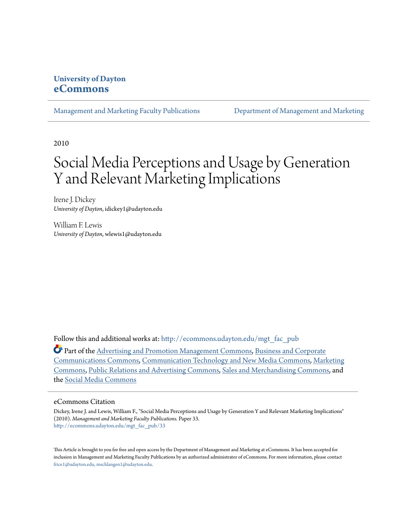# **University of Dayton [eCommons](http://ecommons.udayton.edu?utm_source=ecommons.udayton.edu%2Fmgt_fac_pub%2F33&utm_medium=PDF&utm_campaign=PDFCoverPages)**

[Management and Marketing Faculty Publications](http://ecommons.udayton.edu/mgt_fac_pub?utm_source=ecommons.udayton.edu%2Fmgt_fac_pub%2F33&utm_medium=PDF&utm_campaign=PDFCoverPages) [Department of Management and Marketing](http://ecommons.udayton.edu/mgt?utm_source=ecommons.udayton.edu%2Fmgt_fac_pub%2F33&utm_medium=PDF&utm_campaign=PDFCoverPages)

2010

# Social Media Perceptions and Usage by Generation Y and Relevant Marketing Implications

Irene J. Dickey *University of Dayton*, idickey1@udayton.edu

William F. Lewis *University of Dayton*, wlewis1@udayton.edu

Follow this and additional works at: [http://ecommons.udayton.edu/mgt\\_fac\\_pub](http://ecommons.udayton.edu/mgt_fac_pub?utm_source=ecommons.udayton.edu%2Fmgt_fac_pub%2F33&utm_medium=PDF&utm_campaign=PDFCoverPages)

Part of the [Advertising and Promotion Management Commons,](http://network.bepress.com/hgg/discipline/626?utm_source=ecommons.udayton.edu%2Fmgt_fac_pub%2F33&utm_medium=PDF&utm_campaign=PDFCoverPages) [Business and Corporate](http://network.bepress.com/hgg/discipline/627?utm_source=ecommons.udayton.edu%2Fmgt_fac_pub%2F33&utm_medium=PDF&utm_campaign=PDFCoverPages) [Communications Commons,](http://network.bepress.com/hgg/discipline/627?utm_source=ecommons.udayton.edu%2Fmgt_fac_pub%2F33&utm_medium=PDF&utm_campaign=PDFCoverPages) [Communication Technology and New Media Commons,](http://network.bepress.com/hgg/discipline/327?utm_source=ecommons.udayton.edu%2Fmgt_fac_pub%2F33&utm_medium=PDF&utm_campaign=PDFCoverPages) [Marketing](http://network.bepress.com/hgg/discipline/638?utm_source=ecommons.udayton.edu%2Fmgt_fac_pub%2F33&utm_medium=PDF&utm_campaign=PDFCoverPages) [Commons,](http://network.bepress.com/hgg/discipline/638?utm_source=ecommons.udayton.edu%2Fmgt_fac_pub%2F33&utm_medium=PDF&utm_campaign=PDFCoverPages) [Public Relations and Advertising Commons](http://network.bepress.com/hgg/discipline/336?utm_source=ecommons.udayton.edu%2Fmgt_fac_pub%2F33&utm_medium=PDF&utm_campaign=PDFCoverPages), [Sales and Merchandising Commons](http://network.bepress.com/hgg/discipline/646?utm_source=ecommons.udayton.edu%2Fmgt_fac_pub%2F33&utm_medium=PDF&utm_campaign=PDFCoverPages), and the [Social Media Commons](http://network.bepress.com/hgg/discipline/1249?utm_source=ecommons.udayton.edu%2Fmgt_fac_pub%2F33&utm_medium=PDF&utm_campaign=PDFCoverPages)

#### eCommons Citation

Dickey, Irene J. and Lewis, William F., "Social Media Perceptions and Usage by Generation Y and Relevant Marketing Implications" (2010). *Management and Marketing Faculty Publications.* Paper 33. [http://ecommons.udayton.edu/mgt\\_fac\\_pub/33](http://ecommons.udayton.edu/mgt_fac_pub/33?utm_source=ecommons.udayton.edu%2Fmgt_fac_pub%2F33&utm_medium=PDF&utm_campaign=PDFCoverPages)

This Article is brought to you for free and open access by the Department of Management and Marketing at eCommons. It has been accepted for inclusion in Management and Marketing Faculty Publications by an authorized administrator of eCommons. For more information, please contact [frice1@udayton.edu, mschlangen1@udayton.edu.](mailto:frice1@udayton.edu,%20mschlangen1@udayton.edu)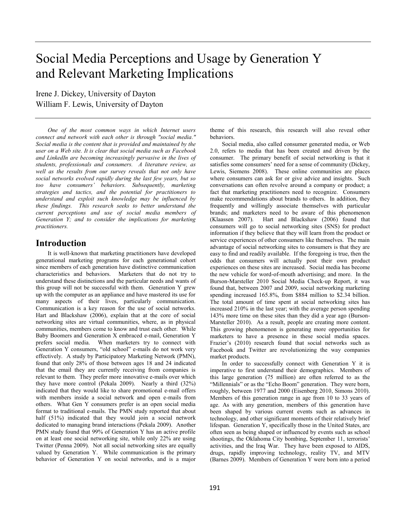# Social Media Perceptions and Usage by Generation Y and Relevant Marketing Implications

Irene J. Dickey, University of Dayton William F. Lewis, University of Dayton

*One of the most common ways in which Internet users connect and network with each other is through "social media." Social media is the content that is provided and maintained by the user on a Web site. It is clear that social media such as Facebook and LinkedIn are becoming increasingly pervasive in the lives of students, professionals and consumers. A literature review, as well as the results from our survey reveals that not only have social networks evolved rapidly during the last few years, but so too have consumers' behaviors. Subsequently, marketing strategies and tactics, and the potential for practitioners to understand and exploit such knowledge may be influenced by these findings. This research seeks to better understand the current perceptions and use of social media members of Generation Y; and to consider the implications for marketing practitioners.* 

## **Introduction**

 It is well-known that marketing practitioners have developed generational marketing programs for each generational cohort since members of each generation have distinctive communication characteristics and behaviors. Marketers that do not try to understand these distinctions and the particular needs and wants of this group will not be successful with them. Generation Y grew up with the computer as an appliance and have mastered its use for many aspects of their lives, particularly communication. Communication is a key reason for the use of social networks. Hart and Blackshaw (2006), explain that at the core of social networking sites are virtual communities, where, as in physical communities, members come to know and trust each other. While Baby Boomers and Generation X embraced e-mail, Generation Y prefers social media. When marketers try to connect with Generation Y consumers, "old school" e-mails do not work very effectively. A study by Participatory Marketing Network (PMN), found that only 28% of those between ages 18 and 24 indicated that the email they are currently receiving from companies is relevant to them. They prefer more innovative e-mails over which they have more control (Pekala 2009). Nearly a third (32%) indicated that they would like to share promotional e-mail offers with members inside a social network and open e-mails from others. What Gen Y consumers prefer is an open social media format to traditional e-mails. The PMN study reported that about half (51%) indicated that they would join a social network dedicated to managing brand interactions (Pekala 2009). Another PMN study found that 99% of Generation Y has an active profile on at least one social networking site, while only 22% are using Twitter (Penna 2009). Not all social networking sites are equally valued by Generation Y. While communication is the primary behavior of Generation Y on social networks, and is a major

theme of this research, this research will also reveal other behaviors.

Social media, also called consumer generated media, or Web 2.0, refers to media that has been created and driven by the consumer. The primary benefit of social networking is that it satisfies some consumers' need for a sense of community (Dickey, Lewis, Siemens 2008). These online communities are places where consumers can ask for or give advice and insights. Such conversations can often revolve around a company or product; a fact that marketing practitioners need to recognize. Consumers make recommendations about brands to others. In addition, they frequently and willingly associate themselves with particular brands; and marketers need to be aware of this phenomenon (Klaassen 2007). Hart and Blackshaw (2006) found that consumers will go to social networking sites (SNS) for product information if they believe that they will learn from the product or service experiences of other consumers like themselves. The main advantage of social networking sites to consumers is that they are easy to find and readily available. If the foregoing is true, then the odds that consumers will actually post their own product experiences on these sites are increased. Social media has become the new vehicle for word-of-mouth advertising; and more. In the Burson-Marsteller 2010 Social Media Check-up Report, it was found that, between 2007 and 2009, social networking marketing spending increased 165.8%, from \$884 million to \$2.34 billion. The total amount of time spent at social networking sites has increased 210% in the last year; with the average person spending 143% more time on these sites than they did a year ago (Burson-Marsteller 2010). As a result, people are creating more content. This growing phenomenon is generating more opportunities for marketers to have a presence in these social media spaces. Frazier's (2010) research found that social networks such as Facebook and Twitter are revolutionizing the way companies market products.

 In order to successfully connect with Generation Y it is imperative to first understand their demographics. Members of this large generation (75 million) are often referred to as the "Millennials" or as the "Echo Boom" generation. They were born, roughly, between 1977 and 2000 (Eisenberg 2010, Simons 2010). Members of this generation range in age from 10 to 33 years of age. As with any generation, members of this generation have been shaped by various current events such as advances in technology, and other significant moments of their relatively brief lifespan. Generation Y, specifically those in the United States, are often seen as being shaped or influenced by events such as school shootings, the Oklahoma City bombing, September 11, terrorists' activities, and the Iraq War. They have been exposed to AIDS, drugs, rapidly improving technology, reality TV, and MTV (Barnes 2009). Members of Generation Y were born into a period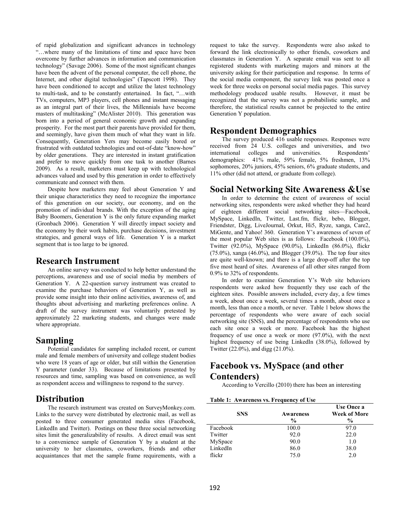of rapid globalization and significant advances in technology "…where many of the limitations of time and space have been overcome by further advances in information and communication technology" (Savage 2006). Some of the most significant changes have been the advent of the personal computer, the cell phone, the Internet, and other digital technologies" (Tapscott 1998). They have been conditioned to accept and utilize the latest technology to multi-task, and to be constantly entertained. In fact, "…with TVs, computers, MP3 players, cell phones and instant messaging as an integral part of their lives, the Millennials have become masters of multitasking" (McAlister 2010). This generation was born into a period of general economic growth and expanding prosperity. For the most part their parents have provided for them, and seemingly, have given them much of what they want in life. Consequently, Generation Yers may become easily bored or frustrated with outdated technologies and out-of-date "know-how" by older generations. They are interested in instant gratification and prefer to move quickly from one task to another (Barnes 2009). As a result, marketers must keep up with technological advances valued and used by this generation in order to effectively communicate and connect with them.

 Despite how marketers may feel about Generation Y and their unique characteristics they need to recognize the importance of this generation on our society, our economy, and on the promotion of individual brands. With the exception of the aging Baby Boomers, Generation Y is the only future expanding market (Gronbach 2006). Generation Y will directly impact society and the economy by their work habits, purchase decisions, investment strategies, and general ways of life. Generation Y is a market segment that is too large to be ignored.

#### **Research Instrument**

 An online survey was conducted to help better understand the perceptions, awareness and use of social media by members of Generation Y. A 22-question survey instrument was created to examine the purchase behaviors of Generation Y, as well as provide some insight into their online activities, awareness of, and thoughts about advertising and marketing preferences online. A draft of the survey instrument was voluntarily pretested by approximately 22 marketing students, and changes were made where appropriate.

## **Sampling**

 Potential candidates for sampling included recent, or current male and female members of university and college student bodies who were 18 years of age or older, but still within the Generation Y parameter (under 33). Because of limitations presented by resources and time, sampling was based on convenience, as well as respondent access and willingness to respond to the survey.

## **Distribution**

 The research instrument was created on SurveyMonkey.com. Links to the survey were distributed by electronic mail, as well as posted to three consumer generated media sites (Facebook, LinkedIn and Twitter). Postings on these three social networking sites limit the generalizability of results. A direct email was sent to a convenience sample of Generation Y by a student at the university to her classmates, coworkers, friends and other acquaintances that met the sample frame requirements, with a

request to take the survey. Respondents were also asked to forward the link electronically to other friends, coworkers and classmates in Generation Y. A separate email was sent to all registered students with marketing majors and minors at the university asking for their participation and response. In terms of the social media component, the survey link was posted once a week for three weeks on personal social media pages. This survey methodology produced usable results. However, it must be recognized that the survey was not a probabilistic sample, and therefore, the statistical results cannot be projected to the entire Generation Y population.

## **Respondent Demographics**

 The survey produced 416 usable responses. Responses were received from 24 U.S. colleges and universities, and two international colleges and universities. Respondents' demographics: 41% male, 59% female, 5% freshmen, 13% sophomores, 20% juniors, 45% seniors, 6% graduate students, and 11% other (did not attend, or graduate from college).

## **Social Networking Site Awareness &Use**

 In order to determine the extent of awareness of social networking sites, respondents were asked whether they had heard of eighteen different social networking sites—Facebook, MySpace, LinkedIn, Twitter, Last.fm, flickr, bebo, Blogger, Friendster, Digg, LiveJournal, Orkut, Hi5, Ryze, xanga, Care2, MiGente, and Yahoo! 360. Generation Y's awareness of seven of the most popular Web sites is as follows: Facebook (100.0%), Twitter (92.0%), MySpace (90.0%), LinkedIn (86.0%), flickr (75.0%), xanga (46.0%), and Blogger (39.0%). The top four sites are quite well-known; and there is a large drop-off after the top five most heard of sites. Awareness of all other sites ranged from 0.9% to 32% of respondents.

 In order to examine Generation Y's Web site behaviors respondents were asked how frequently they use each of the eighteen sites. Possible answers included, every day, a few times a week, about once a week, several times a month, about once a month, less than once a month, or never. Table 1 below shows the percentage of respondents who were aware of each social networking site (SNS), and the percentage of respondents who use each site once a week or more. Facebook has the highest frequency of use once a week or more (97.0%), with the next highest frequency of use being LinkedIn (38.0%), followed by Twitter (22.0%), and digg (21.0%).

## **Facebook vs. MySpace (and other Contenders)**

According to Vercillo (2010) there has been an interesting

|  |  | Table 1: Awareness vs. Frequency of Use |
|--|--|-----------------------------------------|
|--|--|-----------------------------------------|

| <b>SNS</b> | <b>Awareness</b><br>$\frac{6}{9}$ | Use Once a<br><b>Week of More</b><br>$\frac{6}{9}$ |
|------------|-----------------------------------|----------------------------------------------------|
| Facebook   | 100.0                             | 97.0                                               |
| Twitter    | 92.0                              | 22.0                                               |
| MySpace    | 90.0                              | 1.0                                                |
| LinkedIn   | 86.0                              | 38.0                                               |
| flickr     | 75.0                              | 2.0                                                |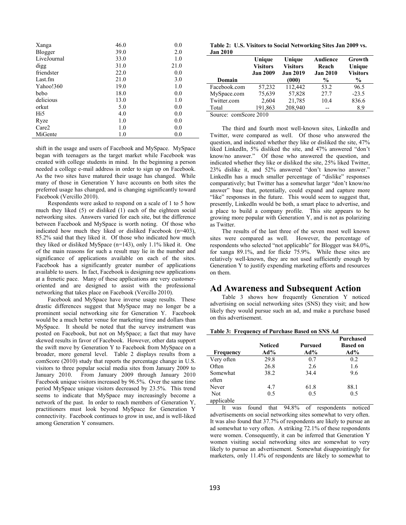| Xanga       | 46.0 | 0.0  |
|-------------|------|------|
| Blogger     | 39.0 | 2.0  |
| LiveJournal | 33.0 | 1.0  |
| digg        | 31.0 | 21.0 |
| friendster  | 22.0 | 0.0  |
| Last.fm     | 21.0 | 3.0  |
| Yahoo!360   | 19.0 | 1.0  |
| bebo        | 18.0 | 0.0  |
| delicious   | 13.0 | 1.0  |
| orkut       | 5.0  | 0.0  |
| Hi5         | 4.0  | 0.0  |
| Ryze        | 1.0  | 0.0  |
| Care2       | 1.0  | 0.0  |
| MiGente     | 1.0  | 0.0  |

shift in the usage and users of Facebook and MySpace. MySpace began with teenagers as the target market while Facebook was created with college students in mind. In the beginning a person needed a college e-mail address in order to sign up on Facebook. As the two sites have matured their usage has changed. While many of those in Generation Y have accounts on both sites the preferred usage has changed, and is changing significantly toward Facebook (Vercillo 2010).

 Respondents were asked to respond on a scale of 1 to 5 how much they liked (5) or disliked (1) each of the eighteen social networking sites. Answers varied for each site, but the difference between Facebook and MySpace is worth noting. Of those who indicated how much they liked or disliked Facebook (n=403), 85.2% said that they liked it. Of those who indicated how much they liked or disliked MySpace (n=143), only 1.1% liked it. One of the main reasons for such a result may lie in the number and significance of applications available on each of the sites. Facebook has a significantly greater number of applications available to users. In fact, Facebook is designing new applications at a frenetic pace. Many of these applications are very customeroriented and are designed to assist with the professional networking that takes place on Facebook (Vercillo 2010).

 Facebook and MySpace have inverse usage results. These drastic differences suggest that MySpace may no longer be a prominent social networking site for Generation Y. Facebook would be a much better venue for marketing time and dollars than MySpace. It should be noted that the survey instrument was posted on Facebook, but not on MySpace; a fact that may have skewed results in favor of Facebook. However, other data support the swift move by Generation Y to Facebook from MySpace on a broader, more general level. Table 2 displays results from a comScore (2010) study that reports the percentage change in U.S. visitors to three popular social media sites from January 2009 to January 2010. From January 2009 through January 2010 January 2010. From January 2009 through January 2010 Facebook unique visitors increased by 96.5%. Over the same time period MySpace unique visitors decreased by 23.5%. This trend seems to indicate that MySpace may increasingly become a network of the past. In order to reach members of Generation Y, practitioners must look beyond MySpace for Generation Y connectivity. Facebook continues to grow in use, and is well-liked among Generation Y consumers.

**Table 2: U.S. Visitors to Social Networking Sites Jan 2009 vs. Jan 2010** 

| Jan 4010     | Unique<br><b>Visitors</b><br><b>Jan 2009</b> | Unique<br><b>Visitors</b><br><b>Jan 2019</b> | Audience<br>Reach<br><b>Jan 2010</b> | Growth<br>Unique<br><b>Visitors</b> |
|--------------|----------------------------------------------|----------------------------------------------|--------------------------------------|-------------------------------------|
| Domain       |                                              | (000)                                        | %                                    | $\frac{6}{9}$                       |
| Facebook.com | 57,232                                       | 112,442                                      | 53.2                                 | 96.5                                |
| MySpace.com  | 75,639                                       | 57,828                                       | 27.7                                 | $-23.5$                             |
| Twitter.com  | 2,604                                        | 21,785                                       | 10.4                                 | 836.6                               |
| Total        | 191,863                                      | 208,940                                      | $-$                                  | 8.9                                 |

Source: comScore 2010

The third and fourth most well-known sites, LinkedIn and Twitter, were compared as well. Of those who answered the question, and indicated whether they like or disliked the site, 47% liked LinkedIn, 5% disliked the site, and 47% answered "don't know/no answer." Of those who answered the question, and indicated whether they like or disliked the site, 25% liked Twitter, 23% dislike it, and 52% answered "don't know/no answer." LinkedIn has a much smaller percentage of "dislike" responses comparatively; but Twitter has a somewhat larger "don't know/no answer" base that, potentially, could expand and capture more "like" responses in the future. This would seem to suggest that, presently, LinkedIn would be both, a smart place to advertise, and a place to build a company profile. This site appears to be growing more popular with Generation Y, and is not as polarizing as Twitter.

The results of the last three of the seven most well known sites were compared as well. However, the percentage of respondents who selected "not applicable" for Blogger was 84.0%, for xanga 89.1%, and for flickr 75.9%. While these sites are relatively well-known, they are not used sufficiently enough by Generation Y to justify expending marketing efforts and resources on them.

#### **Ad Awareness and Subsequent Action**

Table 3 shows how frequently Generation Y noticed advertising on social networking sites (SNS) they visit; and how likely they would pursue such an ad, and make a purchase based on this advertisement.

## **Table 3: Frequency of Purchase Based on SNS Ad**

|                          | <b>Noticed</b> | Pursued | <b>Purchased</b><br><b>Based on</b> |
|--------------------------|----------------|---------|-------------------------------------|
| Frequency                | $Ad\%$         | $Ad\%$  | $Ad\%$                              |
| Very often               | 29.8           | 0.7     | 0.2                                 |
| Often                    | 26.8           | 2.6     | 1.6                                 |
| Somewhat<br>often        | 38.2           | 34.4    | 9.6                                 |
| Never                    | 4.7            | 61.8    | 88.1                                |
| <b>Not</b><br>applicable | 0.5            | 0.5     | 0.5                                 |

It was found that 94.8% of respondents noticed advertisements on social networking sites somewhat to very often. It was also found that 37.7% of respondents are likely to pursue an ad somewhat to very often. A striking 72.1% of these respondents were women. Consequently, it can be inferred that Generation Y women visiting social networking sites are somewhat to very likely to pursue an advertisement. Somewhat disappointingly for marketers, only 11.4% of respondents are likely to somewhat to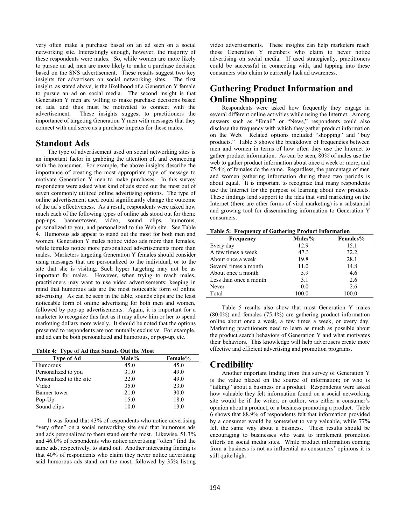very often make a purchase based on an ad seen on a social networking site. Interestingly enough, however, the majority of these respondents were males. So, while women are more likely to pursue an ad, men are more likely to make a purchase decision based on the SNS advertisement. These results suggest two key insights for advertisers on social networking sites. The first insight, as stated above, is the likelihood of a Generation Y female to pursue an ad on social media. The second insight is that Generation Y men are willing to make purchase decisions based on ads, and thus must be motivated to connect with the advertisement. These insights suggest to practitioners the importance of targeting Generation Y men with messages that they connect with and serve as a purchase impetus for these males.

### **Standout Ads**

The type of advertisement used on social networking sites is an important factor in grabbing the attention of, and connecting with the consumer. For example, the above insights describe the importance of creating the most appropriate type of message to motivate Generation Y men to make purchases. In this survey respondents were asked what kind of ads stood out the most out of seven commonly utilized online advertising options. The type of online advertisement used could significantly change the outcome of the ad's effectiveness. As a result, respondents were asked how much each of the following types of online ads stood out for them: pop-ups, banner/tower, video, sound clips, humorous, personalized to you, and personalized to the Web site. See Table 4. Humorous ads appear to stand out the most for both men and women. Generation Y males notice video ads more than females, while females notice more personalized advertisements more than males. Marketers targeting Generation Y females should consider using messages that are personalized to the individual, or to the site that she is visiting. Such hyper targeting may not be as important for males. However, when trying to reach males, practitioners may want to use video advertisements; keeping in mind that humorous ads are the most noticeable form of online advertising. As can be seen in the table, sounds clips are the least noticeable form of online advertising for both men and women, followed by pop-up advertisements. Again, it is important for a marketer to recognize this fact as it may allow him or her to spend marketing dollars more wisely. It should be noted that the options presented to respondents are not mutually exclusive. For example, and ad can be both personalized and humorous, or pop-up, etc.

#### **Table 4: Type of Ad that Stands Out the Most**

| Type of Ad                | Male% | Female% |
|---------------------------|-------|---------|
| <b>Humorous</b>           | 45.0  | 45.0    |
| Personalized to you       | 31.0  | 49.0    |
| Personalized to the site. | 22.0  | 49.0    |
| Video                     | 35.0  | 23.0    |
| Banner tower              | 21.0  | 30.0    |
| $Pop$ - $Up$              | 15.0  | 18.0    |
| Sound clips               | 10.0  | 13.0    |

It was found that 43% of respondents who notice advertising "very often" on a social networking site said that humorous ads and ads personalized to them stand out the most. Likewise, 51.3% and 46.0% of respondents who notice advertising "often" find the same ads, respectively, to stand out. Another interesting finding is that 40% of respondents who claim they never notice advertising said humorous ads stand out the most, followed by 35% listing

video advertisements. These insights can help marketers reach those Generation Y members who claim to never notice advertising on social media. If used strategically, practitioners could be successful in connecting with, and tapping into these consumers who claim to currently lack ad awareness.

# **Gathering Product Information and Online Shopping**

Respondents were asked how frequently they engage in several different online activities while using the Internet. Among answers such as "Email" or "News," respondents could also disclose the frequency with which they gather product information on the Web. Related options included "shopping" and "buy products." Table 5 shows the breakdown of frequencies between men and women in terms of how often they use the Internet to gather product information. As can be seen, 80% of males use the web to gather product information about once a week or more, and 75.4% of females do the same. Regardless, the percentage of men and women gathering information during these two periods is about equal. It is important to recognize that many respondents use the Internet for the purpose of learning about new products. These findings lend support to the idea that viral marketing on the Internet (there are other forms of viral marketing) is a substantial and growing tool for disseminating information to Generation Y consumers.

**Table 5: Frequency of Gathering Product Information** 

| Frequency              | <b>Males%</b> | Females% |
|------------------------|---------------|----------|
| Every day              | 12.9          | 15.1     |
| A few times a week     | 47.3          | 32.2     |
| About once a week      | 19.8          | 28.1     |
| Several times a month  | 11.0          | 14.8     |
| About once a month     | 5.9           | 4.6      |
| Less than once a month | 3.1           | 2.6      |
| Never                  | 0.0           | 2.6      |
| Total                  |               | 100 0    |

Table 5 results also show that most Generation Y males (80.0%) and females (75.4%) are gathering product information online about once a week, a few times a week, or every day. Marketing practitioners need to learn as much as possible about the product search behaviors of Generation Y and what motivates their behaviors. This knowledge will help advertisers create more effective and efficient advertising and promotion programs.

## **Credibility**

Another important finding from this survey of Generation Y is the value placed on the source of information; or who is "talking" about a business or a product. Respondents were asked how valuable they felt information found on a social networking site would be if the writer, or author, was either a consumer's opinion about a product, or a business promoting a product. Table 6 shows that 88.9% of respondents felt that information provided by a consumer would be somewhat to very valuable, while 77% felt the same way about a business. These results should be encouraging to businesses who want to implement promotion efforts on social media sites. While product information coming from a business is not as influential as consumers' opinions it is still quite high.